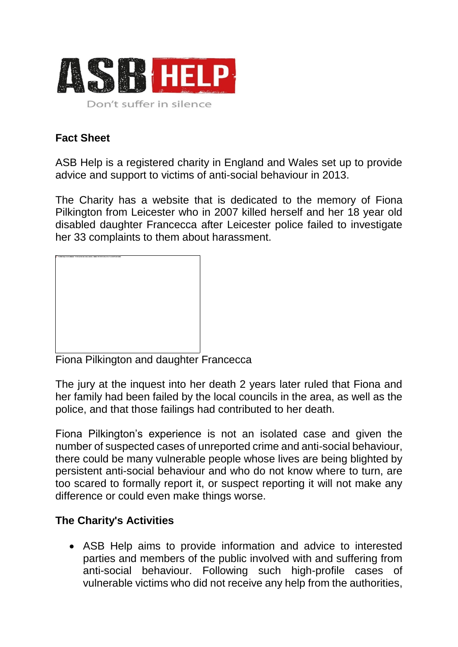

## **Fact Sheet**

ASB Help is a registered charity in England and Wales set up to provide advice and support to victims of anti-social behaviour in 2013.

The Charity has a website that is dedicated to the memory of Fiona Pilkington from Leicester who in 2007 killed herself and her 18 year old disabled daughter Francecca after Leicester police failed to investigate her 33 complaints to them about harassment.



Fiona Pilkington and daughter Francecca

The jury at the inquest into her death 2 years later ruled that Fiona and her family had been failed by the local councils in the area, as well as the police, and that those failings had contributed to her death.

Fiona Pilkington's experience is not an isolated case and given the number of suspected cases of unreported crime and anti-social behaviour, there could be many vulnerable people whose lives are being blighted by persistent anti-social behaviour and who do not know where to turn, are too scared to formally report it, or suspect reporting it will not make any difference or could even make things worse.

## **The Charity's Activities**

 ASB Help aims to provide information and advice to interested parties and members of the public involved with and suffering from anti-social behaviour. Following such high-profile cases of vulnerable victims who did not receive any help from the authorities,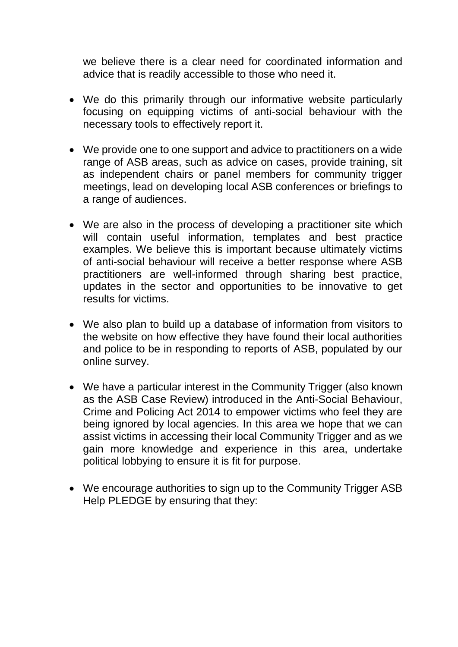we believe there is a clear need for coordinated information and advice that is readily accessible to those who need it.

- We do this primarily through our informative website particularly focusing on equipping victims of anti-social behaviour with the necessary tools to effectively report it.
- We provide one to one support and advice to practitioners on a wide range of ASB areas, such as advice on cases, provide training, sit as independent chairs or panel members for community trigger meetings, lead on developing local ASB conferences or briefings to a range of audiences.
- We are also in the process of developing a practitioner site which will contain useful information, templates and best practice examples. We believe this is important because ultimately victims of anti-social behaviour will receive a better response where ASB practitioners are well-informed through sharing best practice, updates in the sector and opportunities to be innovative to get results for victims.
- We also plan to build up a database of information from visitors to the website on how effective they have found their local authorities and police to be in responding to reports of ASB, populated by our online survey.
- We have a particular interest in the Community Trigger (also known as the ASB Case Review) introduced in the Anti-Social Behaviour, Crime and Policing Act 2014 to empower victims who feel they are being ignored by local agencies. In this area we hope that we can assist victims in accessing their local Community Trigger and as we gain more knowledge and experience in this area, undertake political lobbying to ensure it is fit for purpose.
- We encourage authorities to sign up to the Community Trigger ASB Help PLEDGE by ensuring that they: